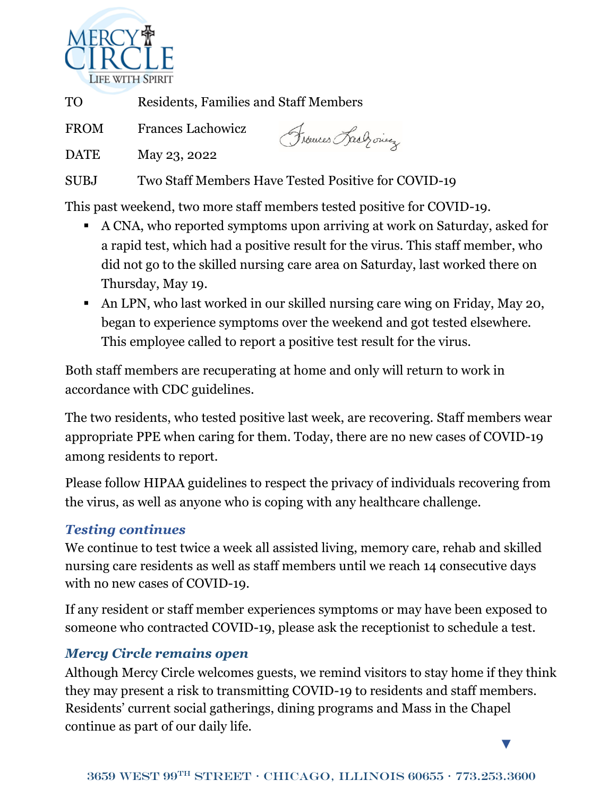

TO Residents, Families and Staff Members

FROM Frances Lachowicz

Frances Rach ones

DATE May 23, 2022

SUBJ Two Staff Members Have Tested Positive for COVID-19

This past weekend, two more staff members tested positive for COVID-19.

- A CNA, who reported symptoms upon arriving at work on Saturday, asked for a rapid test, which had a positive result for the virus. This staff member, who did not go to the skilled nursing care area on Saturday, last worked there on Thursday, May 19.
- An LPN, who last worked in our skilled nursing care wing on Friday, May 20, began to experience symptoms over the weekend and got tested elsewhere. This employee called to report a positive test result for the virus.

Both staff members are recuperating at home and only will return to work in accordance with CDC guidelines.

The two residents, who tested positive last week, are recovering. Staff members wear appropriate PPE when caring for them. Today, there are no new cases of COVID-19 among residents to report.

Please follow HIPAA guidelines to respect the privacy of individuals recovering from the virus, as well as anyone who is coping with any healthcare challenge.

## *Testing continues*

We continue to test twice a week all assisted living, memory care, rehab and skilled nursing care residents as well as staff members until we reach 14 consecutive days with no new cases of COVID-19.

If any resident or staff member experiences symptoms or may have been exposed to someone who contracted COVID-19, please ask the receptionist to schedule a test.

## *Mercy Circle remains open*

Although Mercy Circle welcomes guests, we remind visitors to stay home if they think they may present a risk to transmitting COVID-19 to residents and staff members. Residents' current social gatherings, dining programs and Mass in the Chapel continue as part of our daily life.

▼